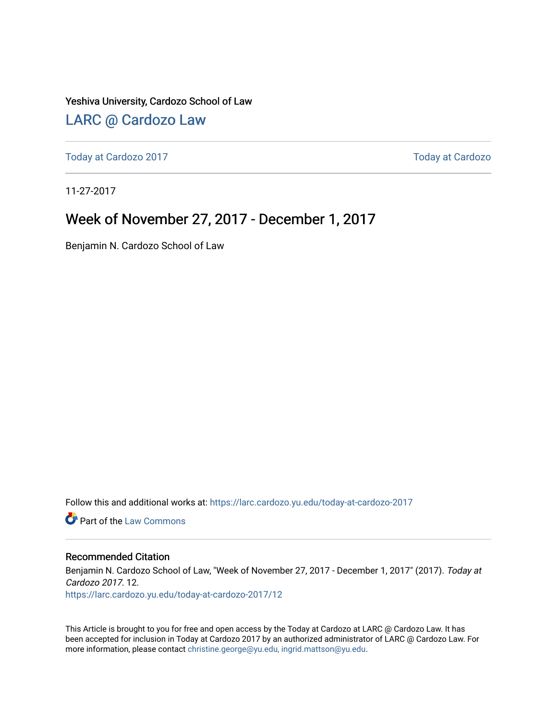Yeshiva University, Cardozo School of Law

#### [LARC @ Cardozo Law](https://larc.cardozo.yu.edu/)

[Today at Cardozo 2017](https://larc.cardozo.yu.edu/today-at-cardozo-2017) **Today at Cardozo** 2017

11-27-2017

#### Week of November 27, 2017 - December 1, 2017

Benjamin N. Cardozo School of Law

Follow this and additional works at: [https://larc.cardozo.yu.edu/today-at-cardozo-2017](https://larc.cardozo.yu.edu/today-at-cardozo-2017?utm_source=larc.cardozo.yu.edu%2Ftoday-at-cardozo-2017%2F12&utm_medium=PDF&utm_campaign=PDFCoverPages)

**C** Part of the [Law Commons](http://network.bepress.com/hgg/discipline/578?utm_source=larc.cardozo.yu.edu%2Ftoday-at-cardozo-2017%2F12&utm_medium=PDF&utm_campaign=PDFCoverPages)

#### Recommended Citation

Benjamin N. Cardozo School of Law, "Week of November 27, 2017 - December 1, 2017" (2017). Today at Cardozo 2017. 12. [https://larc.cardozo.yu.edu/today-at-cardozo-2017/12](https://larc.cardozo.yu.edu/today-at-cardozo-2017/12?utm_source=larc.cardozo.yu.edu%2Ftoday-at-cardozo-2017%2F12&utm_medium=PDF&utm_campaign=PDFCoverPages) 

This Article is brought to you for free and open access by the Today at Cardozo at LARC @ Cardozo Law. It has been accepted for inclusion in Today at Cardozo 2017 by an authorized administrator of LARC @ Cardozo Law. For more information, please contact [christine.george@yu.edu, ingrid.mattson@yu.edu](mailto:christine.george@yu.edu,%20ingrid.mattson@yu.edu).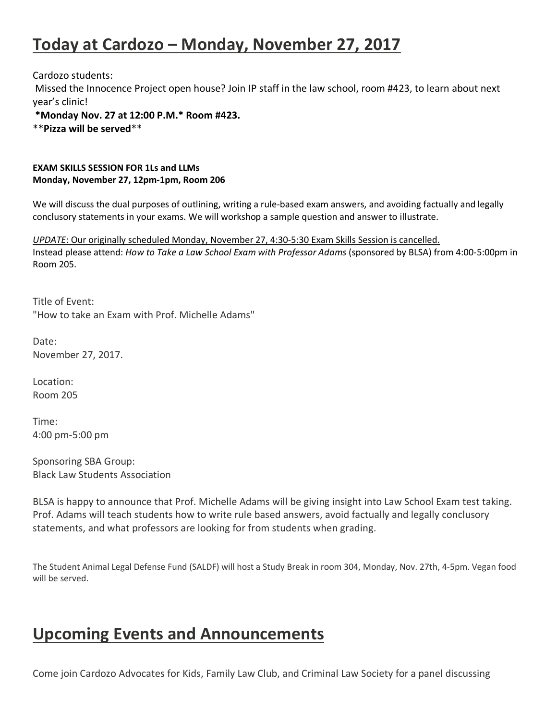## **Today at Cardozo – Monday, November 27, 2017**

Cardozo students:

Missed the Innocence Project open house? Join IP staff in the law school, room #423, to learn about next year's clinic!

**\*Monday Nov. 27 at 12:00 P.M.\* Room #423.**

\*\***Pizza will be served**\*\*

#### **EXAM SKILLS SESSION FOR 1Ls and LLMs Monday, November 27, 12pm-1pm, Room 206**

We will discuss the dual purposes of outlining, writing a rule-based exam answers, and avoiding factually and legally conclusory statements in your exams. We will workshop a sample question and answer to illustrate.

*UPDATE*: Our originally scheduled Monday, November 27, 4:30-5:30 Exam Skills Session is cancelled. Instead please attend: *How to Take a Law School Exam with Professor Adams* (sponsored by BLSA) from 4:00-5:00pm in Room 205.

Title of Event: "How to take an Exam with Prof. Michelle Adams"

Date: November 27, 2017.

Location: Room 205

Time: 4:00 pm-5:00 pm

Sponsoring SBA Group: Black Law Students Association

BLSA is happy to announce that Prof. Michelle Adams will be giving insight into Law School Exam test taking. Prof. Adams will teach students how to write rule based answers, avoid factually and legally conclusory statements, and what professors are looking for from students when grading.

The Student Animal Legal Defense Fund (SALDF) will host a Study Break in room 304, Monday, Nov. 27th, 4-5pm. Vegan food will be served.

## **Upcoming Events and Announcements**

Come join Cardozo Advocates for Kids, Family Law Club, and Criminal Law Society for a panel discussing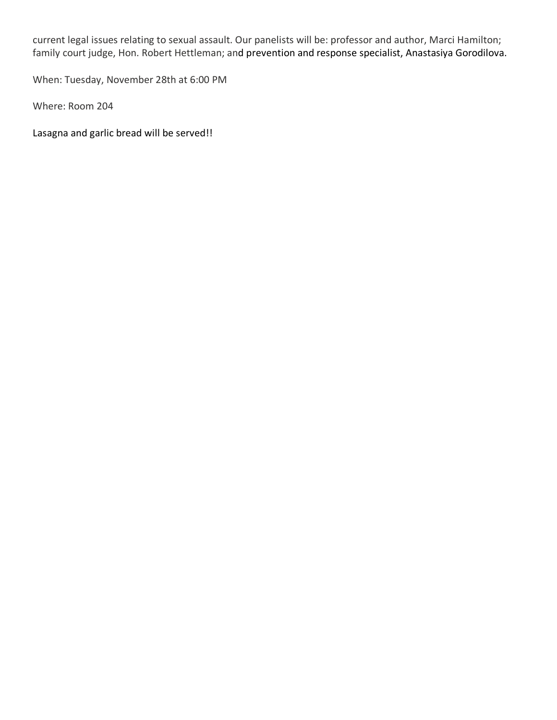current legal issues relating to sexual assault. Our panelists will be: professor and author, Marci Hamilton; family court judge, Hon. Robert Hettleman; and prevention and response specialist, Anastasiya Gorodilova.

When: Tuesday, November 28th at 6:00 PM

Where: Room 204

Lasagna and garlic bread will be served!!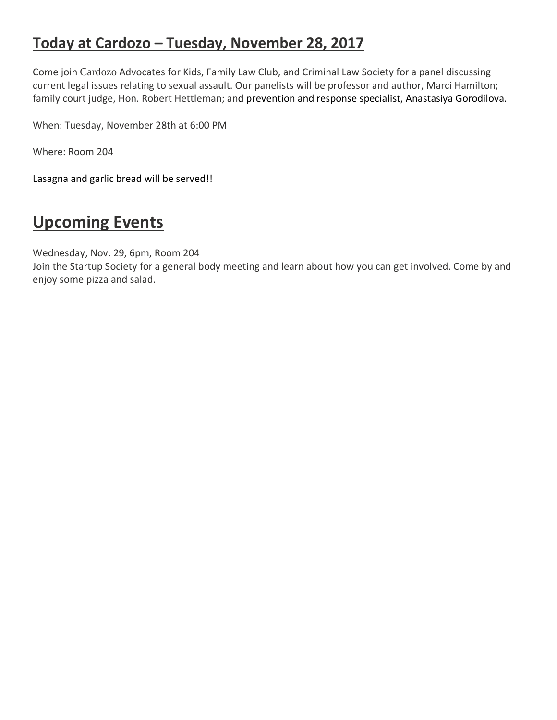### **Today at Cardozo – Tuesday, November 28, 2017**

Come join Cardozo Advocates for Kids, Family Law Club, and Criminal Law Society for a panel discussing current legal issues relating to sexual assault. Our panelists will be professor and author, Marci Hamilton; family court judge, Hon. Robert Hettleman; and prevention and response specialist, Anastasiya Gorodilova.

When: Tuesday, November 28th at 6:00 PM

Where: Room 204

Lasagna and garlic bread will be served!!

## **Upcoming Events**

Wednesday, Nov. 29, 6pm, Room 204

Join the Startup Society for a general body meeting and learn about how you can get involved. Come by and enjoy some pizza and salad.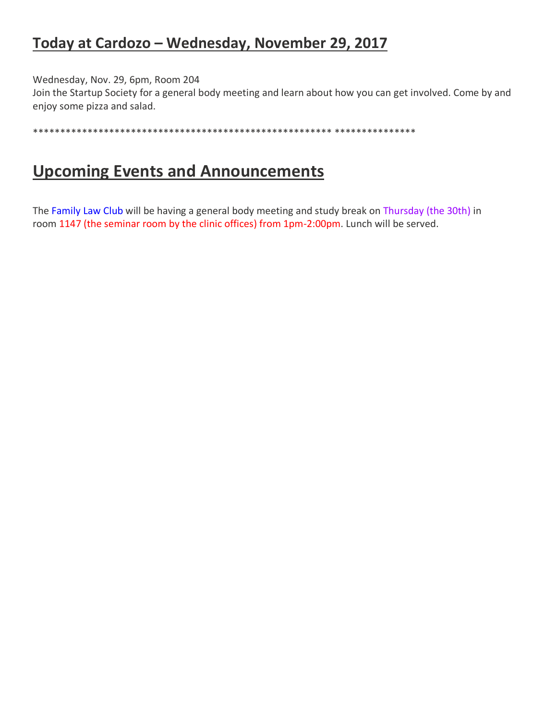### **Today at Cardozo – Wednesday, November 29, 2017**

Wednesday, Nov. 29, 6pm, Room 204

Join the Startup Society for a general body meeting and learn about how you can get involved. Come by and enjoy some pizza and salad.

\*\*\*\*\*\*\*\*\*\*\*\*\*\*\*\*\*\*\*\*\*\*\*\*\*\*\*\*\*\*\*\*\*\*\*\*\*\*\*\*\*\*\*\*\*\*\*\*\*\*\*\*\*\*\* \*\*\*\*\*\*\*\*\*\*\*\*\*\*\*

## **Upcoming Events and Announcements**

The Family Law Club will be having a general body meeting and study break on Thursday (the 30th) in room 1147 (the seminar room by the clinic offices) from 1pm-2:00pm. Lunch will be served.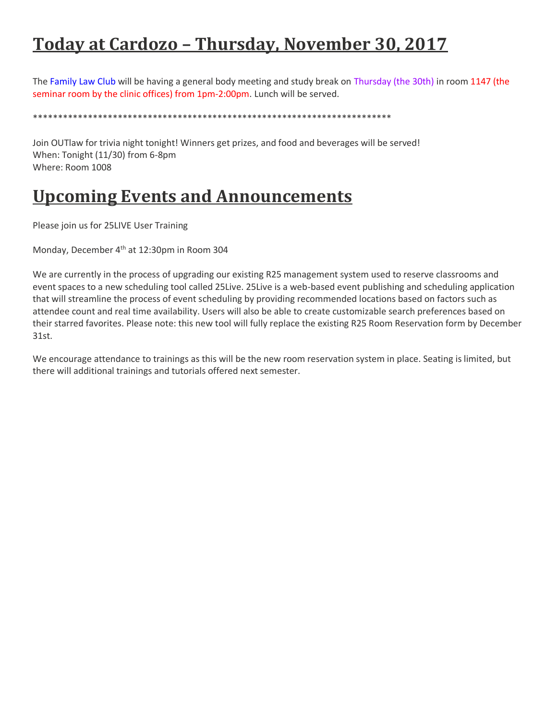# **Today at Cardozo – Thursday, November 30, 2017**

The Family Law Club will be having a general body meeting and study break on Thursday (the 30th) in room 1147 (the seminar room by the clinic offices) from 1pm-2:00pm. Lunch will be served.

\*\*\*\*\*\*\*\*\*\*\*\*\*\*\*\*\*\*\*\*\*\*\*\*\*\*\*\*\*\*\*\*\*\*\*\*\*\*\*\*\*\*\*\*\*\*\*\*\*\*\*\*\*\*\*\*\*\*\*\*\*\*\*\*\*\*\*\*\*\*\*\*

Join OUTlaw for trivia night tonight! Winners get prizes, and food and beverages will be served! When: Tonight (11/30) from 6-8pm Where: Room 1008

## **Upcoming Events and Announcements**

Please join us for 25LIVE User Training

Monday, December 4<sup>th</sup> at 12:30pm in Room 304

We are currently in the process of upgrading our existing R25 management system used to reserve classrooms and event spaces to a new scheduling tool called 25Live. 25Live is a web-based event publishing and scheduling application that will streamline the process of event scheduling by providing recommended locations based on factors such as attendee count and real time availability. Users will also be able to create customizable search preferences based on their starred favorites. Please note: this new tool will fully replace the existing R25 Room Reservation form by December 31st.

We encourage attendance to trainings as this will be the new room reservation system in place. Seating is limited, but there will additional trainings and tutorials offered next semester.